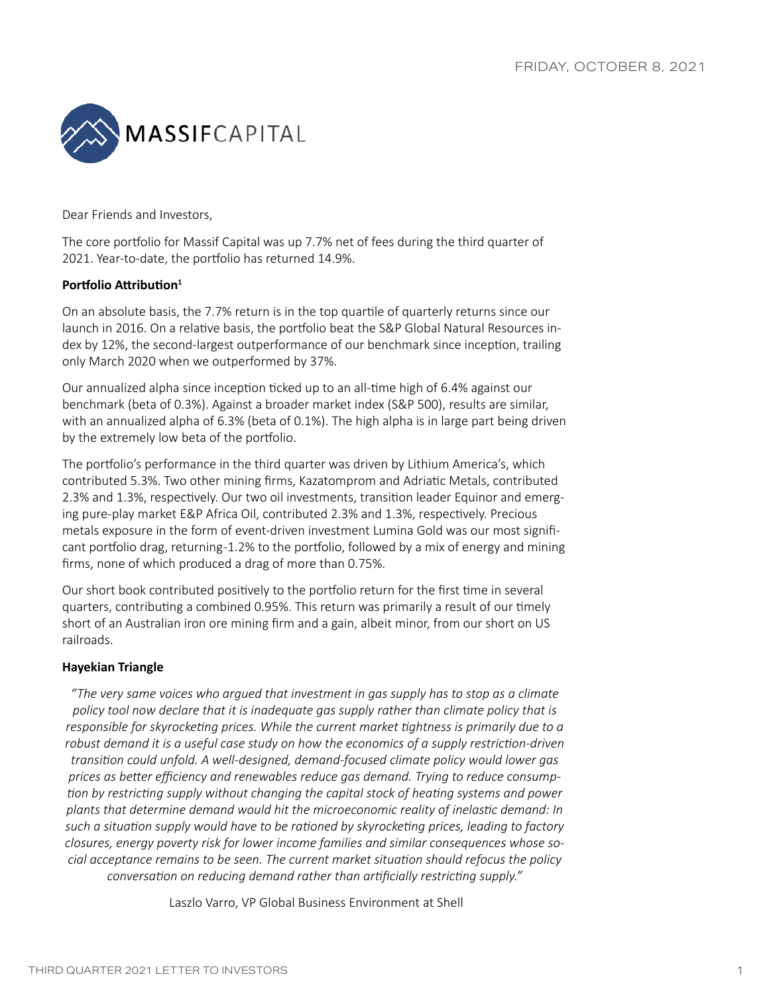

Dear Friends and Investors,

The core portfolio for Massif Capital was up 7.7% net of fees during the third quarter of 2021. Year-to-date, the portfolio has returned 14.9%.

## **Portfolio Attribution<sup>1</sup>**

On an absolute basis, the 7.7% return is in the top quartile of quarterly returns since our launch in 2016. On a relative basis, the portfolio beat the S&P Global Natural Resources index by 12%, the second-largest outperformance of our benchmark since inception, trailing only March 2020 when we outperformed by 37%.

Our annualized alpha since inception ticked up to an all-time high of 6.4% against our benchmark (beta of 0.3%). Against a broader market index (S&P 500), results are similar, with an annualized alpha of 6.3% (beta of 0.1%). The high alpha is in large part being driven by the extremely low beta of the portfolio.

The portfolio's performance in the third quarter was driven by Lithium America's, which contributed 5.3%. Two other mining firms, Kazatomprom and Adriatic Metals, contributed 2.3% and 1.3%, respectively. Our two oil investments, transition leader Equinor and emerging pure-play market E&P Africa Oil, contributed 2.3% and 1.3%, respectively. Precious metals exposure in the form of event-driven investment Lumina Gold was our most significant portfolio drag, returning -1.2% to the portfolio, followed by a mix of energy and mining firms, none of which produced a drag of more than 0.75%.

Our short book contributed positively to the portfolio return for the first time in several quarters, contributing a combined 0.95%. This return was primarily a result of our timely short of an Australian iron ore mining firm and a gain, albeit minor, from our short on US railroads.

## **Hayekian Triangle**

*"The very same voices who argued that investment in gas supply has to stop as a climate policy tool now declare that it is inadequate gas supply rather than climate policy that is responsible for skyrocketing prices. While the current market tightness is primarily due to a robust demand it is a useful case study on how the economics of a supply restriction-driven transition could unfold. A well-designed, demand-focused climate policy would lower gas prices as better efficiency and renewables reduce gas demand. Trying to reduce consumption by restricting supply without changing the capital stock of heating systems and power plants that determine demand would hit the microeconomic reality of inelastic demand: In such a situation supply would have to be rationed by skyrocketing prices, leading to factory closures, energy poverty risk for lower income families and similar consequences whose social acceptance remains to be seen. The current market situation should refocus the policy conversation on reducing demand rather than artificially restricting supply."*

Laszlo Varro, VP Global Business Environment at Shell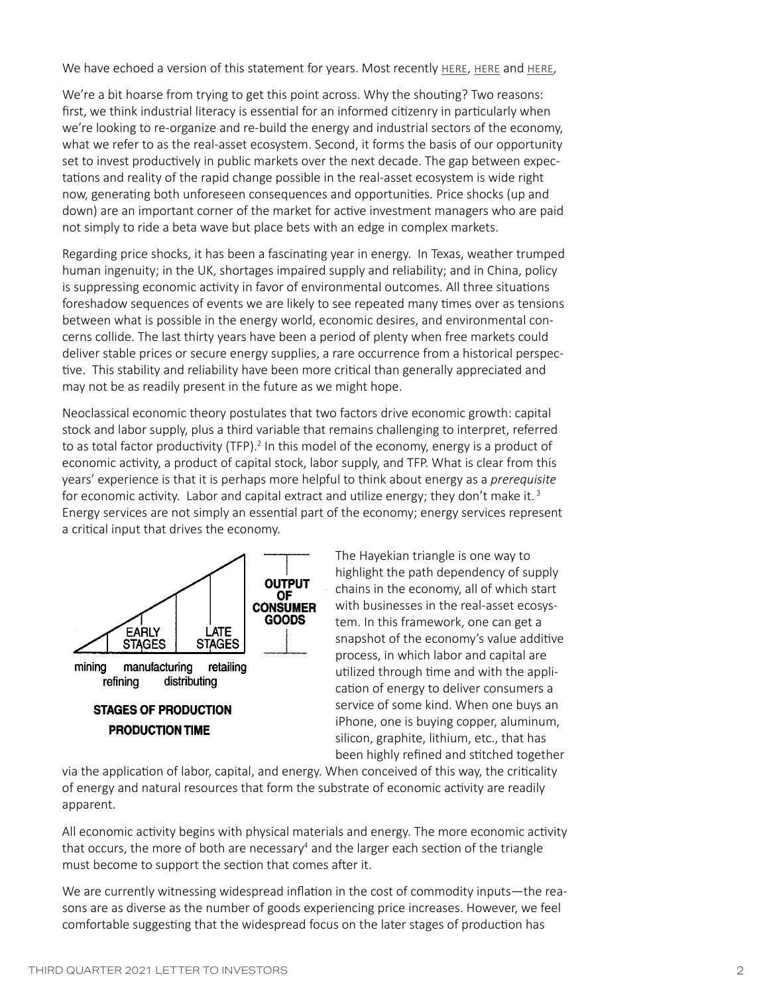We have echoed a version of this statement for years. Most recently HERE, HERE and HERE,

We're a bit hoarse from trying to get this point across. Why the shouting? Two reasons: first, we think industrial literacy is essential for an informed citizenry in particularly when we're looking to re-organize and re-build the energy and industrial sectors of the economy, what we refer to as the real-asset ecosystem. Second, it forms the basis of our opportunity set to invest productively in public markets over the next decade. The gap between expectations and reality of the rapid change possible in the real-asset ecosystem is wide right now, generating both unforeseen consequences and opportunities. Price shocks (up and down) are an important corner of the market for active investment managers who are paid not simply to ride a beta wave but place bets with an edge in complex markets.

Regarding price shocks, it has been a fascinating year in energy. In Texas, weather trumped human ingenuity; in the UK, shortages impaired supply and reliability; and in China, policy is suppressing economic activity in favor of environmental outcomes. All three situations foreshadow sequences of events we are likely to see repeated many times over as tensions between what is possible in the energy world, economic desires, and environmental concerns collide. The last thirty years have been a period of plenty when free markets could deliver stable prices or secure energy supplies, a rare occurrence from a historical perspective. This stability and reliability have been more critical than generally appreciated and may not be as readily present in the future as we might hope.

Neoclassical economic theory postulates that two factors drive economic growth: capital stock and labor supply, plus a third variable that remains challenging to interpret, referred to as total factor productivity (TFP).<sup>2</sup> In this model of the economy, energy is a product of economic activity, a product of capital stock, labor supply, and TFP. What is clear from this years' experience is that it is perhaps more helpful to think about energy as a *prerequisite* for economic activity. Labor and capital extract and utilize energy; they don't make it.<sup>3</sup> Energy services are not simply an essential part of the economy; energy services represent a critical input that drives the economy.



**STAGES OF PRODUCTION PRODUCTION TIME** 

The Hayekian triangle is one way to highlight the path dependency of supply chains in the economy, all of which start with businesses in the real-asset ecosystem. In this framework, one can get a snapshot of the economy's value additive process, in which labor and capital are utilized through time and with the application of energy to deliver consumers a service of some kind. When one buys an iPhone, one is buying copper, aluminum, silicon, graphite, lithium, etc., that has been highly refined and stitched together

via the application of labor, capital, and energy. When conceived of this way, the criticality of energy and natural resources that form the substrate of economic activity are readily apparent.

All economic activity begins with physical materials and energy. The more economic activity that occurs, the more of both are necessary<sup>4</sup> and the larger each section of the triangle must become to support the section that comes after it.

We are currently witnessing widespread inflation in the cost of commodity inputs—the reasons are as diverse as the number of goods experiencing price increases. However, we feel comfortable suggesting that the widespread focus on the later stages of production has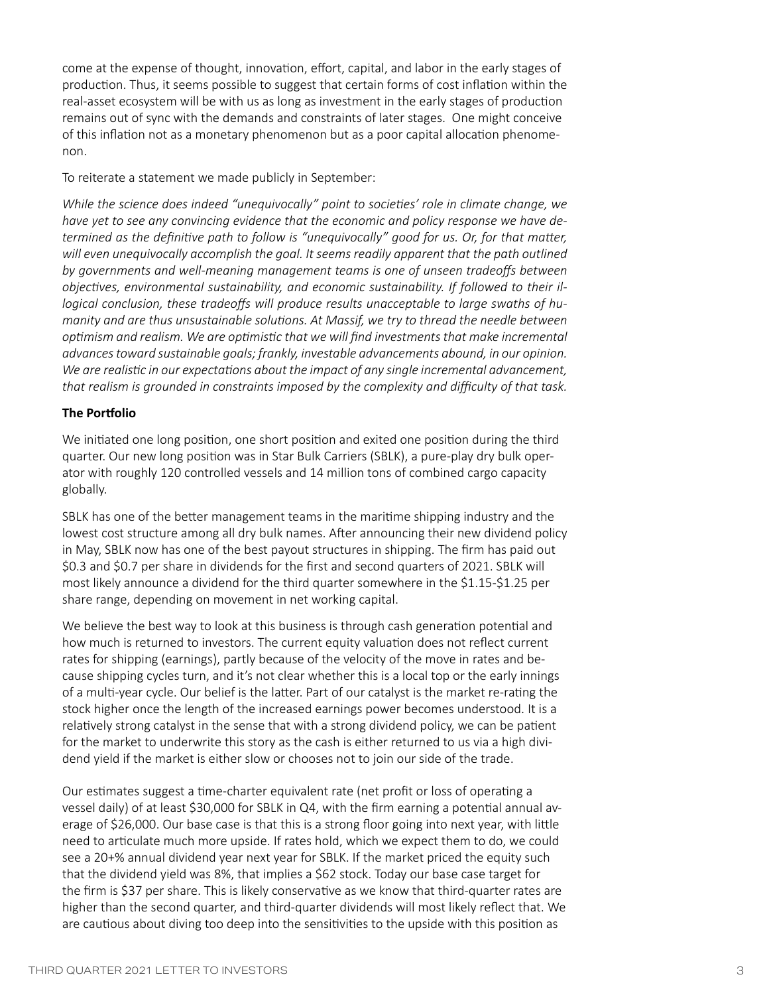come at the expense of thought, innovation, effort, capital, and labor in the early stages of production. Thus, it seems possible to suggest that certain forms of cost inflation within the real-asset ecosystem will be with us as long as investment in the early stages of production remains out of sync with the demands and constraints of later stages. One might conceive of this inflation not as a monetary phenomenon but as a poor capital allocation phenomenon.

To reiterate a statement we made publicly in September:

*While the science does indeed "unequivocally" point to societies' role in climate change, we have yet to see any convincing evidence that the economic and policy response we have determined as the definitive path to follow is "unequivocally" good for us. Or, for that matter, will even unequivocally accomplish the goal. It seems readily apparent that the path outlined by governments and well-meaning management teams is one of unseen tradeoffs between objectives, environmental sustainability, and economic sustainability. If followed to their illogical conclusion, these tradeoffs will produce results unacceptable to large swaths of humanity and are thus unsustainable solutions. At Massif, we try to thread the needle between optimism and realism. We are optimistic that we will find investments that make incremental advances toward sustainable goals; frankly, investable advancements abound, in our opinion. We are realistic in our expectations about the impact of any single incremental advancement, that realism is grounded in constraints imposed by the complexity and difficulty of that task.*

## **The Portfolio**

We initiated one long position, one short position and exited one position during the third quarter. Our new long position was in Star Bulk Carriers (SBLK), a pure-play dry bulk operator with roughly 120 controlled vessels and 14 million tons of combined cargo capacity globally.

SBLK has one of the better management teams in the maritime shipping industry and the lowest cost structure among all dry bulk names. After announcing their new dividend policy in May, SBLK now has one of the best payout structures in shipping. The firm has paid out \$0.3 and \$0.7 per share in dividends for the first and second quarters of 2021. SBLK will most likely announce a dividend for the third quarter somewhere in the \$1.15-\$1.25 per share range, depending on movement in net working capital.

We believe the best way to look at this business is through cash generation potential and how much is returned to investors. The current equity valuation does not reflect current rates for shipping (earnings), partly because of the velocity of the move in rates and because shipping cycles turn, and it's not clear whether this is a local top or the early innings of a multi-year cycle. Our belief is the latter. Part of our catalyst is the market re-rating the stock higher once the length of the increased earnings power becomes understood. It is a relatively strong catalyst in the sense that with a strong dividend policy, we can be patient for the market to underwrite this story as the cash is either returned to us via a high dividend yield if the market is either slow or chooses not to join our side of the trade.

Our estimates suggest a time-charter equivalent rate (net profit or loss of operating a vessel daily) of at least \$30,000 for SBLK in Q4, with the firm earning a potential annual average of \$26,000. Our base case is that this is a strong floor going into next year, with little need to articulate much more upside. If rates hold, which we expect them to do, we could see a 20+% annual dividend year next year for SBLK. If the market priced the equity such that the dividend yield was 8%, that implies a \$62 stock. Today our base case target for the firm is \$37 per share. This is likely conservative as we know that third-quarter rates are higher than the second quarter, and third-quarter dividends will most likely reflect that. We are cautious about diving too deep into the sensitivities to the upside with this position as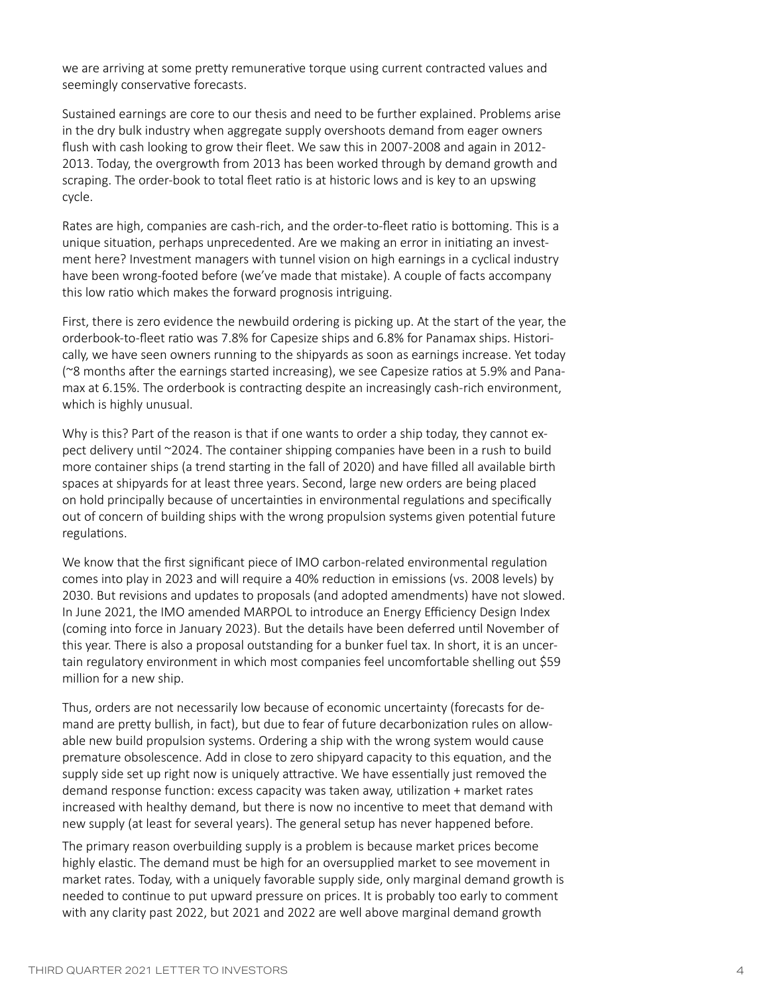we are arriving at some pretty remunerative torque using current contracted values and seemingly conservative forecasts.

Sustained earnings are core to our thesis and need to be further explained. Problems arise in the dry bulk industry when aggregate supply overshoots demand from eager owners flush with cash looking to grow their fleet. We saw this in 2007-2008 and again in 2012- 2013. Today, the overgrowth from 2013 has been worked through by demand growth and scraping. The order-book to total fleet ratio is at historic lows and is key to an upswing cycle.

Rates are high, companies are cash-rich, and the order-to-fleet ratio is bottoming. This is a unique situation, perhaps unprecedented. Are we making an error in initiating an investment here? Investment managers with tunnel vision on high earnings in a cyclical industry have been wrong-footed before (we've made that mistake). A couple of facts accompany this low ratio which makes the forward prognosis intriguing.

First, there is zero evidence the newbuild ordering is picking up. At the start of the year, the orderbook-to-fleet ratio was 7.8% for Capesize ships and 6.8% for Panamax ships. Historically, we have seen owners running to the shipyards as soon as earnings increase. Yet today (~8 months after the earnings started increasing), we see Capesize ratios at 5.9% and Panamax at 6.15%. The orderbook is contracting despite an increasingly cash-rich environment, which is highly unusual.

Why is this? Part of the reason is that if one wants to order a ship today, they cannot expect delivery until ~2024. The container shipping companies have been in a rush to build more container ships (a trend starting in the fall of 2020) and have filled all available birth spaces at shipyards for at least three years. Second, large new orders are being placed on hold principally because of uncertainties in environmental regulations and specifically out of concern of building ships with the wrong propulsion systems given potential future regulations.

We know that the first significant piece of IMO carbon-related environmental regulation comes into play in 2023 and will require a 40% reduction in emissions (vs. 2008 levels) by 2030. But revisions and updates to proposals (and adopted amendments) have not slowed. In June 2021, the IMO amended MARPOL to introduce an Energy Efficiency Design Index (coming into force in January 2023). But the details have been deferred until November of this year. There is also a proposal outstanding for a bunker fuel tax. In short, it is an uncertain regulatory environment in which most companies feel uncomfortable shelling out \$59 million for a new ship.

Thus, orders are not necessarily low because of economic uncertainty (forecasts for demand are pretty bullish, in fact), but due to fear of future decarbonization rules on allowable new build propulsion systems. Ordering a ship with the wrong system would cause premature obsolescence. Add in close to zero shipyard capacity to this equation, and the supply side set up right now is uniquely attractive. We have essentially just removed the demand response function: excess capacity was taken away, utilization + market rates increased with healthy demand, but there is now no incentive to meet that demand with new supply (at least for several years). The general setup has never happened before.

The primary reason overbuilding supply is a problem is because market prices become highly elastic. The demand must be high for an oversupplied market to see movement in market rates. Today, with a uniquely favorable supply side, only marginal demand growth is needed to continue to put upward pressure on prices. It is probably too early to comment with any clarity past 2022, but 2021 and 2022 are well above marginal demand growth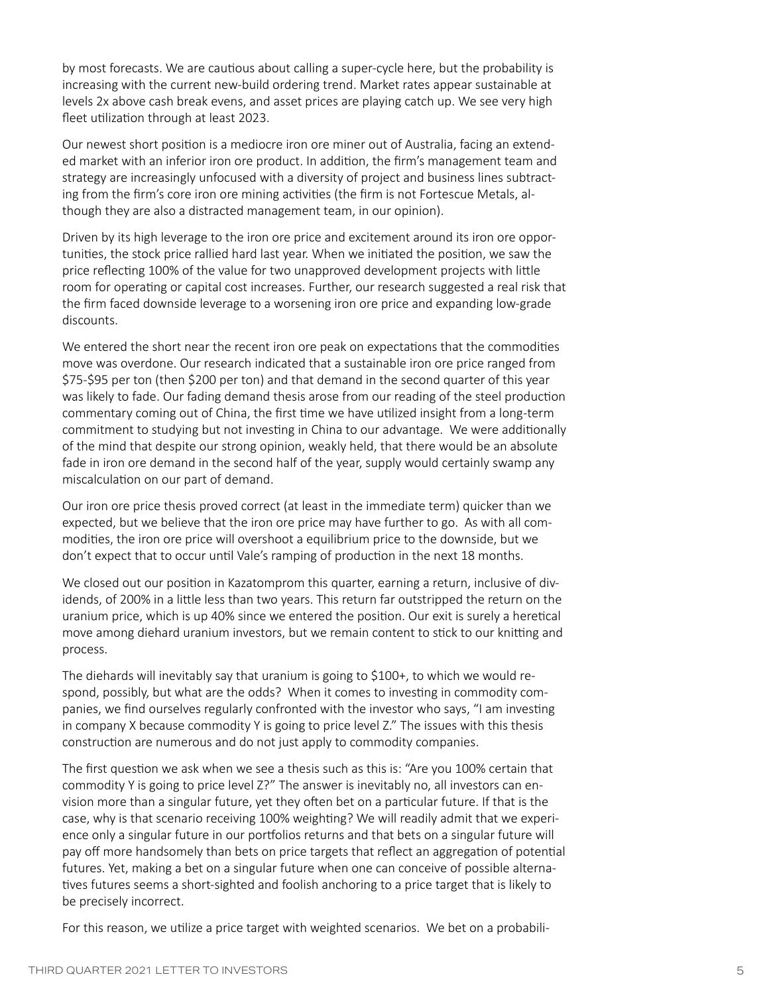by most forecasts. We are cautious about calling a super-cycle here, but the probability is increasing with the current new-build ordering trend. Market rates appear sustainable at levels 2x above cash break evens, and asset prices are playing catch up. We see very high fleet utilization through at least 2023.

Our newest short position is a mediocre iron ore miner out of Australia, facing an extended market with an inferior iron ore product. In addition, the firm's management team and strategy are increasingly unfocused with a diversity of project and business lines subtracting from the firm's core iron ore mining activities (the firm is not Fortescue Metals, although they are also a distracted management team, in our opinion).

Driven by its high leverage to the iron ore price and excitement around its iron ore opportunities, the stock price rallied hard last year. When we initiated the position, we saw the price reflecting 100% of the value for two unapproved development projects with little room for operating or capital cost increases. Further, our research suggested a real risk that the firm faced downside leverage to a worsening iron ore price and expanding low-grade discounts.

We entered the short near the recent iron ore peak on expectations that the commodities move was overdone. Our research indicated that a sustainable iron ore price ranged from \$75-\$95 per ton (then \$200 per ton) and that demand in the second quarter of this year was likely to fade. Our fading demand thesis arose from our reading of the steel production commentary coming out of China, the first time we have utilized insight from a long-term commitment to studying but not investing in China to our advantage. We were additionally of the mind that despite our strong opinion, weakly held, that there would be an absolute fade in iron ore demand in the second half of the year, supply would certainly swamp any miscalculation on our part of demand.

Our iron ore price thesis proved correct (at least in the immediate term) quicker than we expected, but we believe that the iron ore price may have further to go. As with all commodities, the iron ore price will overshoot a equilibrium price to the downside, but we don't expect that to occur until Vale's ramping of production in the next 18 months.

We closed out our position in Kazatomprom this quarter, earning a return, inclusive of dividends, of 200% in a little less than two years. This return far outstripped the return on the uranium price, which is up 40% since we entered the position. Our exit is surely a heretical move among diehard uranium investors, but we remain content to stick to our knitting and process.

The diehards will inevitably say that uranium is going to \$100+, to which we would respond, possibly, but what are the odds? When it comes to investing in commodity companies, we find ourselves regularly confronted with the investor who says, "I am investing in company X because commodity Y is going to price level Z." The issues with this thesis construction are numerous and do not just apply to commodity companies.

The first question we ask when we see a thesis such as this is: "Are you 100% certain that commodity Y is going to price level Z?" The answer is inevitably no, all investors can envision more than a singular future, yet they often bet on a particular future. If that is the case, why is that scenario receiving 100% weighting? We will readily admit that we experience only a singular future in our portfolios returns and that bets on a singular future will pay off more handsomely than bets on price targets that reflect an aggregation of potential futures. Yet, making a bet on a singular future when one can conceive of possible alternatives futures seems a short-sighted and foolish anchoring to a price target that is likely to be precisely incorrect.

For this reason, we utilize a price target with weighted scenarios. We bet on a probabili-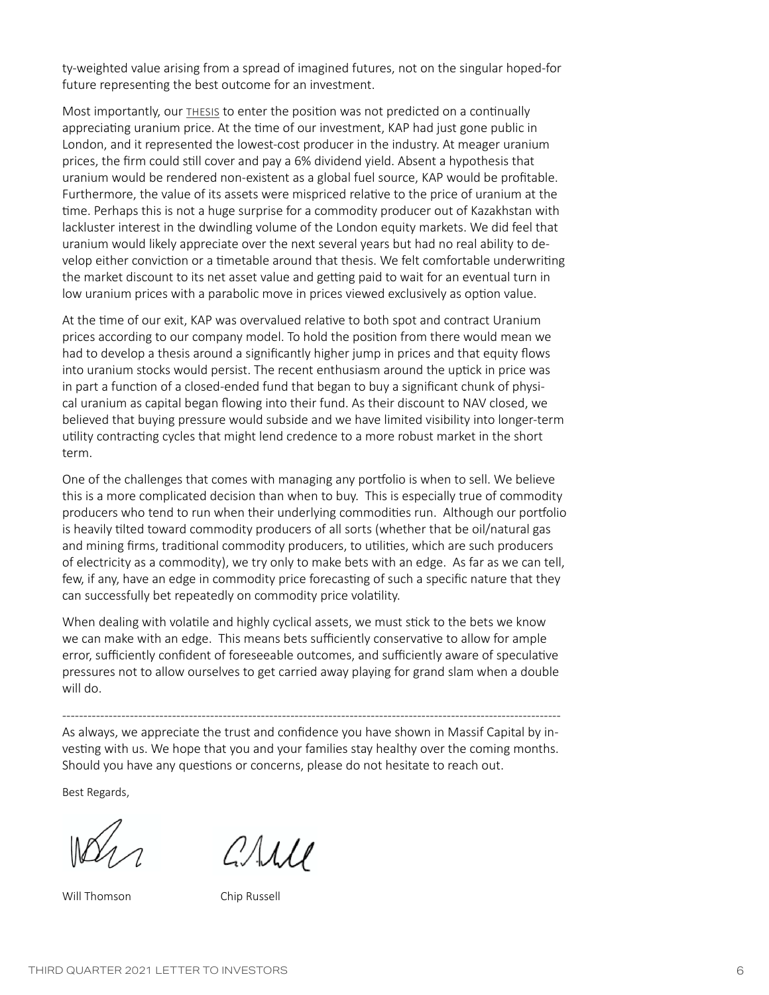ty-weighted value arising from a spread of imagined futures, not on the singular hoped-for future representing the best outcome for an investment.

Most importantly, our [thesis](https://www.massifcap.com/investment-reports) to enter the position was not predicted on a continually appreciating uranium price. At the time of our investment, KAP had just gone public in London, and it represented the lowest-cost producer in the industry. At meager uranium prices, the firm could still cover and pay a 6% dividend yield. Absent a hypothesis that uranium would be rendered non-existent as a global fuel source, KAP would be profitable. Furthermore, the value of its assets were mispriced relative to the price of uranium at the time. Perhaps this is not a huge surprise for a commodity producer out of Kazakhstan with lackluster interest in the dwindling volume of the London equity markets. We did feel that uranium would likely appreciate over the next several years but had no real ability to develop either conviction or a timetable around that thesis. We felt comfortable underwriting the market discount to its net asset value and getting paid to wait for an eventual turn in low uranium prices with a parabolic move in prices viewed exclusively as option value.

At the time of our exit, KAP was overvalued relative to both spot and contract Uranium prices according to our company model. To hold the position from there would mean we had to develop a thesis around a significantly higher jump in prices and that equity flows into uranium stocks would persist. The recent enthusiasm around the uptick in price was in part a function of a closed-ended fund that began to buy a significant chunk of physical uranium as capital began flowing into their fund. As their discount to NAV closed, we believed that buying pressure would subside and we have limited visibility into longer-term utility contracting cycles that might lend credence to a more robust market in the short term.

One of the challenges that comes with managing any portfolio is when to sell. We believe this is a more complicated decision than when to buy. This is especially true of commodity producers who tend to run when their underlying commodities run. Although our portfolio is heavily tilted toward commodity producers of all sorts (whether that be oil/natural gas and mining firms, traditional commodity producers, to utilities, which are such producers of electricity as a commodity), we try only to make bets with an edge. As far as we can tell, few, if any, have an edge in commodity price forecasting of such a specific nature that they can successfully bet repeatedly on commodity price volatility.

When dealing with volatile and highly cyclical assets, we must stick to the bets we know we can make with an edge. This means bets sufficiently conservative to allow for ample error, sufficiently confident of foreseeable outcomes, and sufficiently aware of speculative pressures not to allow ourselves to get carried away playing for grand slam when a double will do.

---------------------------------------------------------------------------------------------------------------------- As always, we appreciate the trust and confidence you have shown in Massif Capital by investing with us. We hope that you and your families stay healthy over the coming months. Should you have any questions or concerns, please do not hesitate to reach out.

Best Regards,

Will Thomson Chip Russell

CALLE